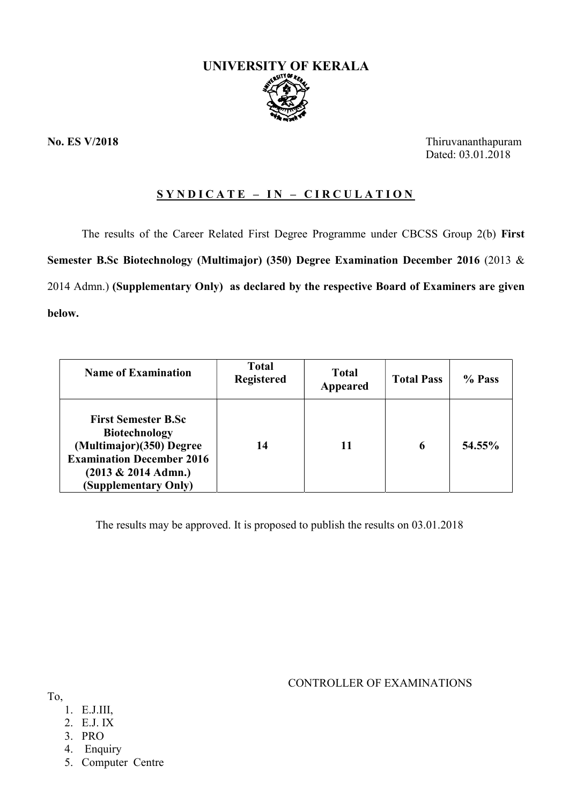

No. ES V/2018 Thiruvananthapuram Dated: 03.01.2018

# $SYNDICATE - IN - CIRCULATION$

The results of the Career Related First Degree Programme under CBCSS Group 2(b) First Semester B.Sc Biotechnology (Multimajor) (350) Degree Examination December 2016 (2013 & 2014 Admn.) (Supplementary Only) as declared by the respective Board of Examiners are given below.

| <b>Name of Examination</b>                                                                                                                                           | <b>Total</b><br><b>Registered</b> | <b>Total</b><br>Appeared | <b>Total Pass</b> | % Pass |
|----------------------------------------------------------------------------------------------------------------------------------------------------------------------|-----------------------------------|--------------------------|-------------------|--------|
| <b>First Semester B.Sc</b><br><b>Biotechnology</b><br>(Multimajor)(350) Degree<br><b>Examination December 2016</b><br>$(2013 \& 2014$ Admn.)<br>(Supplementary Only) | 14                                | 11                       | 6                 | 54.55% |

The results may be approved. It is proposed to publish the results on 03.01.2018

CONTROLLER OF EXAMINATIONS

- To,
	- 1. E.J.III,
	- 2. E.J. IX
	- 3. PRO
	- 4. Enquiry
	- 5. Computer Centre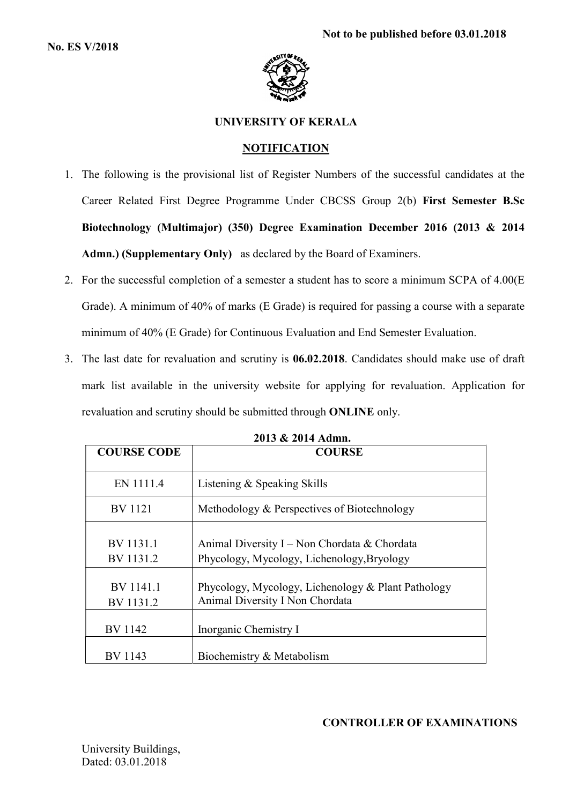

## UNIVERSITY OF KERALA

## **NOTIFICATION**

- 1. The following is the provisional list of Register Numbers of the successful candidates at the Career Related First Degree Programme Under CBCSS Group 2(b) First Semester B.Sc Biotechnology (Multimajor) (350) Degree Examination December 2016 (2013 & 2014 Admn.) (Supplementary Only) as declared by the Board of Examiners.
- 2. For the successful completion of a semester a student has to score a minimum SCPA of 4.00(E Grade). A minimum of 40% of marks (E Grade) is required for passing a course with a separate minimum of 40% (E Grade) for Continuous Evaluation and End Semester Evaluation.
- 3. The last date for revaluation and scrutiny is 06.02.2018. Candidates should make use of draft mark list available in the university website for applying for revaluation. Application for revaluation and scrutiny should be submitted through ONLINE only.

| <b>COURSE CODE</b>     | <b>COURSE</b>                                                                              |
|------------------------|--------------------------------------------------------------------------------------------|
| EN 1111.4              | Listening & Speaking Skills                                                                |
| BV 1121                | Methodology & Perspectives of Biotechnology                                                |
| BV 1131.1<br>BV 1131.2 | Animal Diversity I – Non Chordata & Chordata<br>Phycology, Mycology, Lichenology, Bryology |
| BV 1141.1<br>BV 1131.2 | Phycology, Mycology, Lichenology & Plant Pathology<br>Animal Diversity I Non Chordata      |
| BV 1142                | Inorganic Chemistry I                                                                      |
| BV 1143                | Biochemistry & Metabolism                                                                  |

2013 & 2014 Admn.

## CONTROLLER OF EXAMINATIONS